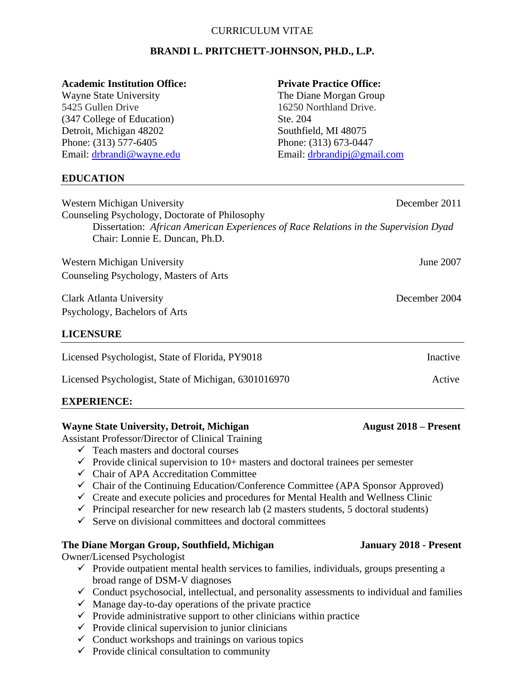### CURRICULUM VITAE

## **BRANDI L. PRITCHETT-JOHNSON, PH.D., L.P.**

### **Academic Institution Office: Private Practice Office:**

5425 Gullen Drive 16250 Northland Drive. (347 College of Education) Ste. 204 Detroit, Michigan 48202 Southfield, MI 48075 Phone: (313) 577-6405 Phone: (313) 673-0447

### **EDUCATION**

Wayne State University The Diane Morgan Group Email: [drbrandi@wayne.edu](mailto:drbrandi@wayne.edu) Email: [drbrandipj@gmail.com](mailto:drbrandipj@gmail.com)

| Western Michigan University<br>Counseling Psychology, Doctorate of Philosophy                                          | December 2011 |
|------------------------------------------------------------------------------------------------------------------------|---------------|
| Dissertation: African American Experiences of Race Relations in the Supervision Dyad<br>Chair: Lonnie E. Duncan, Ph.D. |               |
| Western Michigan University                                                                                            | June 2007     |
| Counseling Psychology, Masters of Arts                                                                                 |               |
| Clark Atlanta University                                                                                               | December 2004 |
| Psychology, Bachelors of Arts                                                                                          |               |
| <b>LICENSURE</b>                                                                                                       |               |
| Licensed Psychologist, State of Florida, PY9018                                                                        | Inactive      |
| Licensed Psychologist, State of Michigan, 6301016970                                                                   | Active        |
|                                                                                                                        |               |

# **EXPERIENCE:**

### **Wayne State University, Detroit, Michigan** *August 2018 – Present*

Assistant Professor/Director of Clinical Training

- $\checkmark$  Teach masters and doctoral courses
- $\checkmark$  Provide clinical supervision to 10+ masters and doctoral trainees per semester
- ✓ Chair of APA Accreditation Committee
- $\checkmark$  Chair of the Continuing Education/Conference Committee (APA Sponsor Approved)
- $\checkmark$  Create and execute policies and procedures for Mental Health and Wellness Clinic
- $\checkmark$  Principal researcher for new research lab (2 masters students, 5 doctoral students)
- $\checkmark$  Serve on divisional committees and doctoral committees

### **The Diane Morgan Group, Southfield, Michigan January 2018 - Present**

Owner/Licensed Psychologist

- $\checkmark$  Provide outpatient mental health services to families, individuals, groups presenting a broad range of DSM-V diagnoses
- $\checkmark$  Conduct psychosocial, intellectual, and personality assessments to individual and families
- $\checkmark$  Manage day-to-day operations of the private practice
- $\checkmark$  Provide administrative support to other clinicians within practice
- $\checkmark$  Provide clinical supervision to junior clinicians
- $\checkmark$  Conduct workshops and trainings on various topics
- $\checkmark$  Provide clinical consultation to community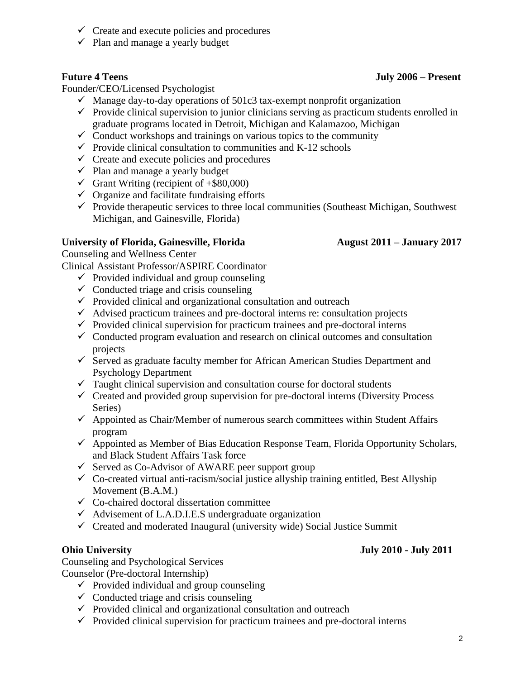- $\checkmark$  Create and execute policies and procedures
- $\checkmark$  Plan and manage a yearly budget

Founder/CEO/Licensed Psychologist

- $\checkmark$  Manage day-to-day operations of 501c3 tax-exempt nonprofit organization
- $\checkmark$  Provide clinical supervision to junior clinicians serving as practicum students enrolled in graduate programs located in Detroit, Michigan and Kalamazoo, Michigan
- $\checkmark$  Conduct workshops and trainings on various topics to the community
- $\checkmark$  Provide clinical consultation to communities and K-12 schools
- $\checkmark$  Create and execute policies and procedures
- $\checkmark$  Plan and manage a yearly budget
- $\checkmark$  Grant Writing (recipient of  $+\$80,000$ )
- $\checkmark$  Organize and facilitate fundraising efforts
- $\checkmark$  Provide therapeutic services to three local communities (Southeast Michigan, Southwest Michigan, and Gainesville, Florida)

## **University of Florida, Gainesville, Florida August 2011 – January 2017**

Counseling and Wellness Center

Clinical Assistant Professor/ASPIRE Coordinator

- $\checkmark$  Provided individual and group counseling
- $\checkmark$  Conducted triage and crisis counseling
- $\checkmark$  Provided clinical and organizational consultation and outreach
- $\checkmark$  Advised practicum trainees and pre-doctoral interns re: consultation projects
- $\checkmark$  Provided clinical supervision for practicum trainees and pre-doctoral interns
- $\checkmark$  Conducted program evaluation and research on clinical outcomes and consultation projects
- ✓ Served as graduate faculty member for African American Studies Department and Psychology Department
- $\checkmark$  Taught clinical supervision and consultation course for doctoral students
- $\checkmark$  Created and provided group supervision for pre-doctoral interns (Diversity Process) Series)
- $\checkmark$  Appointed as Chair/Member of numerous search committees within Student Affairs program
- ✓ Appointed as Member of Bias Education Response Team, Florida Opportunity Scholars, and Black Student Affairs Task force
- $\checkmark$  Served as Co-Advisor of AWARE peer support group
- $\checkmark$  Co-created virtual anti-racism/social justice allyship training entitled, Best Allyship Movement (B.A.M.)
- $\checkmark$  Co-chaired doctoral dissertation committee
- $\checkmark$  Advisement of L.A.D.I.E.S undergraduate organization
- $\checkmark$  Created and moderated Inaugural (university wide) Social Justice Summit

Counseling and Psychological Services Counselor (Pre-doctoral Internship)

- $\checkmark$  Provided individual and group counseling
- $\checkmark$  Conducted triage and crisis counseling
- $\checkmark$  Provided clinical and organizational consultation and outreach
- $\checkmark$  Provided clinical supervision for practicum trainees and pre-doctoral interns

## **Ohio University July 2010 - July 2011**

## **Future 4 Teens July 2006 – Present**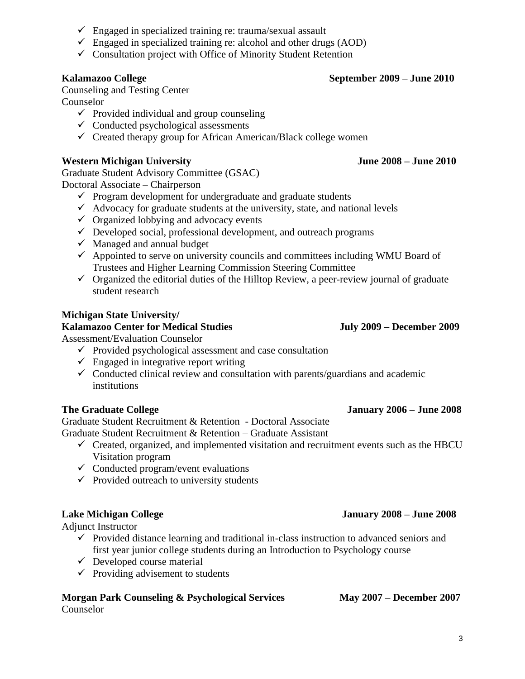- $\checkmark$  Engaged in specialized training re: trauma/sexual assault
- $\checkmark$  Engaged in specialized training re: alcohol and other drugs (AOD)
- $\checkmark$  Consultation project with Office of Minority Student Retention

## **Kalamazoo College September 2009 – June 2010**

Counseling and Testing Center Counselor

- $\checkmark$  Provided individual and group counseling
- $\checkmark$  Conducted psychological assessments
- $\checkmark$  Created therapy group for African American/Black college women

## **Western Michigan University June 2008 – June 2010**

Graduate Student Advisory Committee (GSAC) Doctoral Associate – Chairperson

- $\checkmark$  Program development for undergraduate and graduate students
- $\checkmark$  Advocacy for graduate students at the university, state, and national levels
- $\checkmark$  Organized lobbying and advocacy events
- $\checkmark$  Developed social, professional development, and outreach programs
- $\checkmark$  Managed and annual budget
- $\checkmark$  Appointed to serve on university councils and committees including WMU Board of Trustees and Higher Learning Commission Steering Committee
- $\checkmark$  Organized the editorial duties of the Hilltop Review, a peer-review journal of graduate student research

## **Michigan State University/**

### **Kalamazoo Center for Medical Studies July 2009 – December 2009**

Assessment/Evaluation Counselor

- $\checkmark$  Provided psychological assessment and case consultation
- $\checkmark$  Engaged in integrative report writing
- $\checkmark$  Conducted clinical review and consultation with parents/guardians and academic institutions

Graduate Student Recruitment & Retention - Doctoral Associate Graduate Student Recruitment & Retention – Graduate Assistant

- $\checkmark$  Created, organized, and implemented visitation and recruitment events such as the HBCU Visitation program
- $\checkmark$  Conducted program/event evaluations
- $\checkmark$  Provided outreach to university students

## **Lake Michigan College January 2008 – June 2008**

Adjunct Instructor

- $\checkmark$  Provided distance learning and traditional in-class instruction to advanced seniors and first year junior college students during an Introduction to Psychology course
- $\checkmark$  Developed course material
- $\checkmark$  Providing advisement to students

## **Morgan Park Counseling & Psychological Services May 2007 – December 2007** Counselor

### **The Graduate College January 2006 – June 2008**

3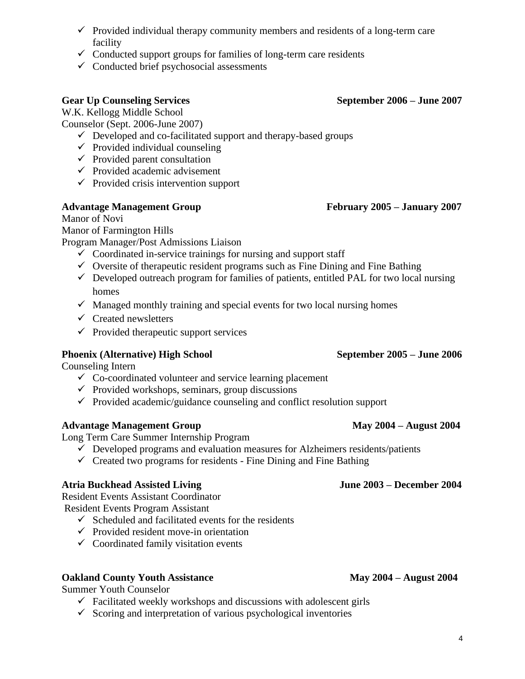### $\checkmark$  Provided individual therapy community members and residents of a long-term care facility

- $\checkmark$  Conducted support groups for families of long-term care residents
- $\checkmark$  Conducted brief psychosocial assessments

## **Gear Up Counseling Services September 2006 – June 2007**

W.K. Kellogg Middle School

Counselor (Sept. 2006-June 2007)

- ✓ Developed and co-facilitated support and therapy-based groups
- $\checkmark$  Provided individual counseling
- $\checkmark$  Provided parent consultation
- $\checkmark$  Provided academic advisement
- $\checkmark$  Provided crisis intervention support

## **Advantage Management Group February 2005 – January 2007**

## Manor of Novi

Manor of Farmington Hills

Program Manager/Post Admissions Liaison

- $\checkmark$  Coordinated in-service trainings for nursing and support staff
- $\checkmark$  Oversite of therapeutic resident programs such as Fine Dining and Fine Bathing
- $\checkmark$  Developed outreach program for families of patients, entitled PAL for two local nursing homes
- $\checkmark$  Managed monthly training and special events for two local nursing homes
- $\checkmark$  Created newsletters
- $\checkmark$  Provided therapeutic support services

## **Phoenix (Alternative) High School September 2005 – June 2006**

Counseling Intern

- $\checkmark$  Co-coordinated volunteer and service learning placement
- $\checkmark$  Provided workshops, seminars, group discussions
- $\checkmark$  Provided academic/guidance counseling and conflict resolution support

## **Advantage Management Group May 2004 – August 2004**

Long Term Care Summer Internship Program

- $\checkmark$  Developed programs and evaluation measures for Alzheimers residents/patients
- $\checkmark$  Created two programs for residents Fine Dining and Fine Bathing

## **Atria Buckhead Assisted Living June 2003 – December 2004**

Resident Events Assistant Coordinator Resident Events Program Assistant

- $\checkmark$  Scheduled and facilitated events for the residents
- $\checkmark$  Provided resident move-in orientation
- $\checkmark$  Coordinated family visitation events

## **Oakland County Youth Assistance May 2004 – August 2004**

Summer Youth Counselor

- $\checkmark$  Facilitated weekly workshops and discussions with adolescent girls
- $\checkmark$  Scoring and interpretation of various psychological inventories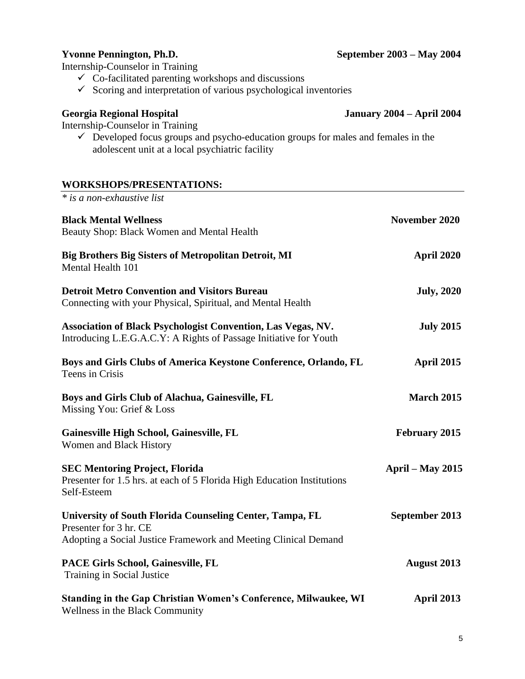## **Yvonne Pennington, Ph.D. September 2003 – May 2004**

Internship-Counselor in Training

- 
- $\checkmark$  Co-facilitated parenting workshops and discussions
- $\checkmark$  Scoring and interpretation of various psychological inventories

## **Georgia Regional Hospital January 2004 – April 2004**

Internship-Counselor in Training

 $\checkmark$  Developed focus groups and psycho-education groups for males and females in the adolescent unit at a local psychiatric facility

## **WORKSHOPS/PRESENTATIONS:**

| * is a non-exhaustive list                                                                                                                            |                    |
|-------------------------------------------------------------------------------------------------------------------------------------------------------|--------------------|
| <b>Black Mental Wellness</b><br>Beauty Shop: Black Women and Mental Health                                                                            | November 2020      |
| <b>Big Brothers Big Sisters of Metropolitan Detroit, MI</b><br>Mental Health 101                                                                      | <b>April 2020</b>  |
| <b>Detroit Metro Convention and Visitors Bureau</b><br>Connecting with your Physical, Spiritual, and Mental Health                                    | <b>July, 2020</b>  |
| <b>Association of Black Psychologist Convention, Las Vegas, NV.</b><br>Introducing L.E.G.A.C.Y: A Rights of Passage Initiative for Youth              | <b>July 2015</b>   |
| Boys and Girls Clubs of America Keystone Conference, Orlando, FL<br>Teens in Crisis                                                                   | <b>April 2015</b>  |
| Boys and Girls Club of Alachua, Gainesville, FL<br>Missing You: Grief & Loss                                                                          | <b>March 2015</b>  |
| Gainesville High School, Gainesville, FL<br>Women and Black History                                                                                   | February 2015      |
| <b>SEC Mentoring Project, Florida</b><br>Presenter for 1.5 hrs. at each of 5 Florida High Education Institutions<br>Self-Esteem                       | April – May $2015$ |
| University of South Florida Counseling Center, Tampa, FL<br>Presenter for 3 hr. CE<br>Adopting a Social Justice Framework and Meeting Clinical Demand | September 2013     |
| PACE Girls School, Gainesville, FL<br>Training in Social Justice                                                                                      | <b>August 2013</b> |
| Standing in the Gap Christian Women's Conference, Milwaukee, WI<br>Wellness in the Black Community                                                    | <b>April 2013</b>  |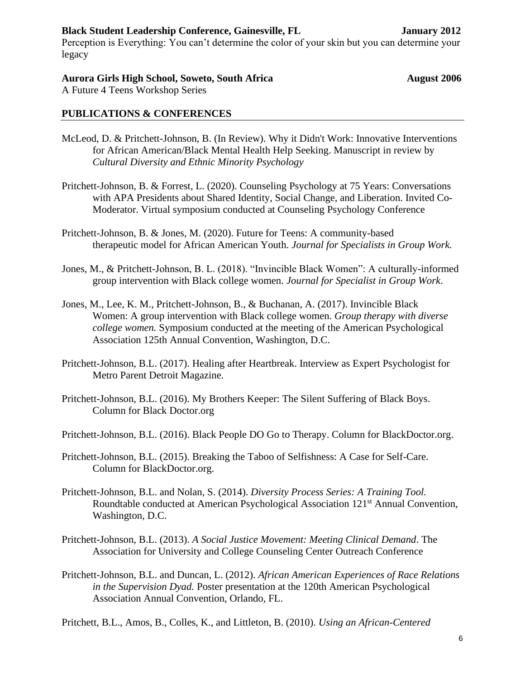## **Black Student Leadership Conference, Gainesville, FL January 2012**

Perception is Everything: You can't determine the color of your skin but you can determine your legacy

## Aurora Girls High School, Soweto, South Africa **August 2006**

A Future 4 Teens Workshop Series

## **PUBLICATIONS & CONFERENCES**

- McLeod, D. & Pritchett-Johnson, B. (In Review). Why it Didn't Work: Innovative Interventions for African American/Black Mental Health Help Seeking. Manuscript in review by *Cultural Diversity and Ethnic Minority Psychology*
- Pritchett-Johnson, B. & Forrest, L. (2020). Counseling Psychology at 75 Years: Conversations with APA Presidents about Shared Identity, Social Change, and Liberation. Invited Co-Moderator. Virtual symposium conducted at Counseling Psychology Conference
- Pritchett-Johnson, B. & Jones, M. (2020). Future for Teens: A community-based therapeutic model for African American Youth. *Journal for Specialists in Group Work.*
- Jones, M., & Pritchett-Johnson, B. L. (2018). "Invincible Black Women": A culturally-informed group intervention with Black college women. *Journal for Specialist in Group Work*.
- Jones, M., Lee, K. M., Pritchett-Johnson, B., & Buchanan, A. (2017). Invincible Black Women: A group intervention with Black college women. *Group therapy with diverse college women.* Symposium conducted at the meeting of the American Psychological Association 125th Annual Convention, Washington, D.C.
- Pritchett-Johnson, B.L. (2017). Healing after Heartbreak. Interview as Expert Psychologist for Metro Parent Detroit Magazine.
- Pritchett-Johnson, B.L. (2016). My Brothers Keeper: The Silent Suffering of Black Boys. Column for Black Doctor.org
- Pritchett-Johnson, B.L. (2016). Black People DO Go to Therapy. Column for BlackDoctor.org.
- Pritchett-Johnson, B.L. (2015). Breaking the Taboo of Selfishness: A Case for Self-Care. Column for BlackDoctor.org.
- Pritchett-Johnson, B.L. and Nolan, S. (2014). *Diversity Process Series: A Training Tool.* Roundtable conducted at American Psychological Association 121st Annual Convention, Washington, D.C.
- Pritchett-Johnson, B.L. (2013). *A Social Justice Movement: Meeting Clinical Demand*. The Association for University and College Counseling Center Outreach Conference
- Pritchett-Johnson, B.L. and Duncan, L. (2012). *African American Experiences of Race Relations in the Supervision Dyad.* Poster presentation at the 120th American Psychological Association Annual Convention, Orlando, FL.

Pritchett, B.L., Amos, B., Colles, K., and Littleton, B. (2010). *Using an African-Centered*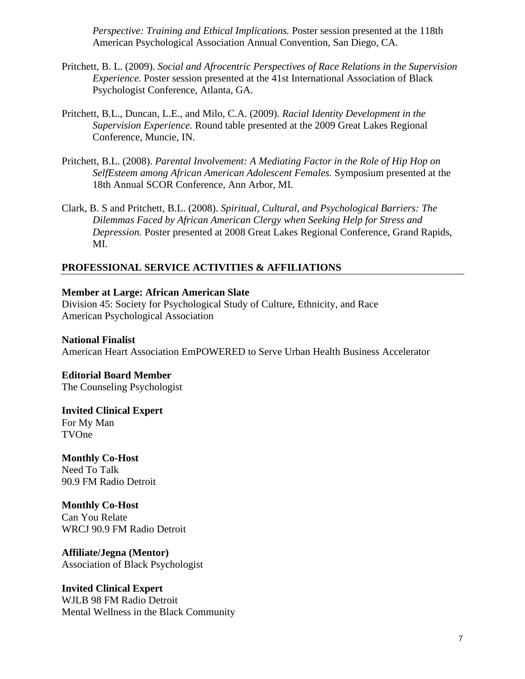*Perspective: Training and Ethical Implications.* Poster session presented at the 118th American Psychological Association Annual Convention, San Diego, CA.

- Pritchett, B. L. (2009). *Social and Afrocentric Perspectives of Race Relations in the Supervision Experience.* Poster session presented at the 41st International Association of Black Psychologist Conference, Atlanta, GA.
- Pritchett, B.L., Duncan, L.E., and Milo, C.A. (2009). *Racial Identity Development in the Supervision Experience.* Round table presented at the 2009 Great Lakes Regional Conference, Muncie, IN.
- Pritchett, B.L. (2008). *Parental Involvement: A Mediating Factor in the Role of Hip Hop on SelfEsteem among African American Adolescent Females.* Symposium presented at the 18th Annual SCOR Conference, Ann Arbor, MI.
- Clark, B. S and Pritchett, B.L. (2008). *Spiritual, Cultural, and Psychological Barriers: The Dilemmas Faced by African American Clergy when Seeking Help for Stress and Depression.* Poster presented at 2008 Great Lakes Regional Conference, Grand Rapids, MI.

### **PROFESSIONAL SERVICE ACTIVITIES & AFFILIATIONS**

### **Member at Large: African American Slate**

Division 45: Society for Psychological Study of Culture, Ethnicity, and Race American Psychological Association

### **National Finalist**

American Heart Association EmPOWERED to Serve Urban Health Business Accelerator

## **Editorial Board Member**

The Counseling Psychologist

**Invited Clinical Expert** For My Man TVOne

**Monthly Co-Host**  Need To Talk 90.9 FM Radio Detroit

**Monthly Co-Host**  Can You Relate WRCJ 90.9 FM Radio Detroit

**Affiliate/Jegna (Mentor)**  Association of Black Psychologist

**Invited Clinical Expert**  WJLB 98 FM Radio Detroit Mental Wellness in the Black Community